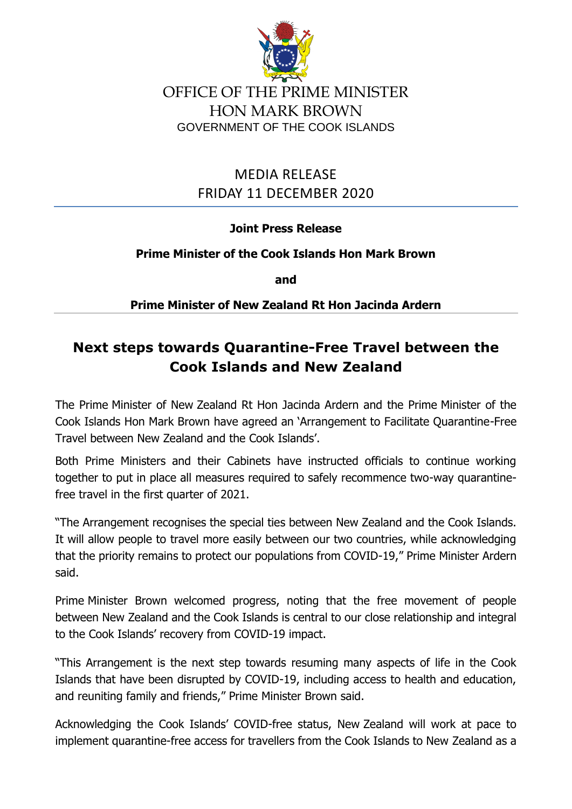

OFFICE OF THE PRIME MINISTER HON MARK BROWN GOVERNMENT OF THE COOK ISLANDS

> MEDIA RELEASE FRIDAY 11 DECEMBER 2020

## **Joint Press Release**

## **Prime Minister of the Cook Islands Hon Mark Brown**

**and** 

**Prime Minister of New Zealand Rt Hon Jacinda Ardern**

## **Next steps towards Quarantine-Free Travel between the Cook Islands and New Zealand**

The Prime Minister of New Zealand Rt Hon Jacinda Ardern and the Prime Minister of the Cook Islands Hon Mark Brown have agreed an 'Arrangement to Facilitate Quarantine-Free Travel between New Zealand and the Cook Islands'.

Both Prime Ministers and their Cabinets have instructed officials to continue working together to put in place all measures required to safely recommence two-way quarantinefree travel in the first quarter of 2021.

"The Arrangement recognises the special ties between New Zealand and the Cook Islands. It will allow people to travel more easily between our two countries, while acknowledging that the priority remains to protect our populations from COVID-19," Prime Minister Ardern said.

Prime Minister Brown welcomed progress, noting that the free movement of people between New Zealand and the Cook Islands is central to our close relationship and integral to the Cook Islands' recovery from COVID-19 impact.

"This Arrangement is the next step towards resuming many aspects of life in the Cook Islands that have been disrupted by COVID-19, including access to health and education, and reuniting family and friends," Prime Minister Brown said.

Acknowledging the Cook Islands' COVID-free status, New Zealand will work at pace to implement quarantine-free access for travellers from the Cook Islands to New Zealand as a